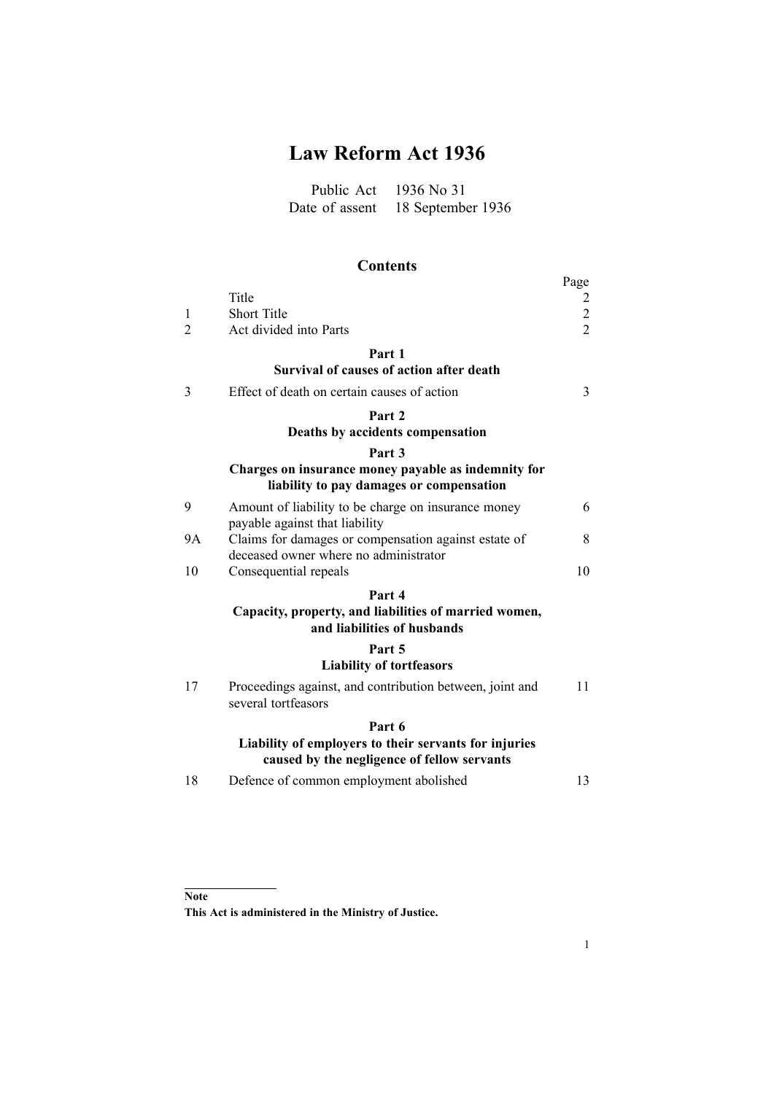# **Law Reform Act 1936**

Public Act 1936 No 31 Date of assent 18 September 1936

# **Contents**

|                |                                                                                                      | Page                             |
|----------------|------------------------------------------------------------------------------------------------------|----------------------------------|
|                | Title                                                                                                | 2                                |
| 1              | Short Title                                                                                          | $\overline{c}$<br>$\overline{2}$ |
| $\overline{2}$ | Act divided into Parts                                                                               |                                  |
|                | Part 1                                                                                               |                                  |
|                | Survival of causes of action after death                                                             |                                  |
| 3              | Effect of death on certain causes of action                                                          | 3                                |
|                | Part <sub>2</sub>                                                                                    |                                  |
|                | Deaths by accidents compensation                                                                     |                                  |
|                | Part <sub>3</sub>                                                                                    |                                  |
|                | Charges on insurance money payable as indemnity for<br>liability to pay damages or compensation      |                                  |
| 9              | Amount of liability to be charge on insurance money<br>payable against that liability                | 6                                |
| 9A             | Claims for damages or compensation against estate of<br>deceased owner where no administrator        | 8                                |
| 10             | Consequential repeals                                                                                | 10                               |
|                | Part 4                                                                                               |                                  |
|                | Capacity, property, and liabilities of married women,<br>and liabilities of husbands                 |                                  |
|                | Part 5                                                                                               |                                  |
|                | <b>Liability of tortfeasors</b>                                                                      |                                  |
| 17             | Proceedings against, and contribution between, joint and<br>several tortfeasors                      | 11                               |
|                | Part 6                                                                                               |                                  |
|                | Liability of employers to their servants for injuries<br>caused by the negligence of fellow servants |                                  |
| 18             | Defence of common employment abolished                                                               | 13                               |
|                |                                                                                                      |                                  |

## **Note**

**This Act is administered in the Ministry of Justice.**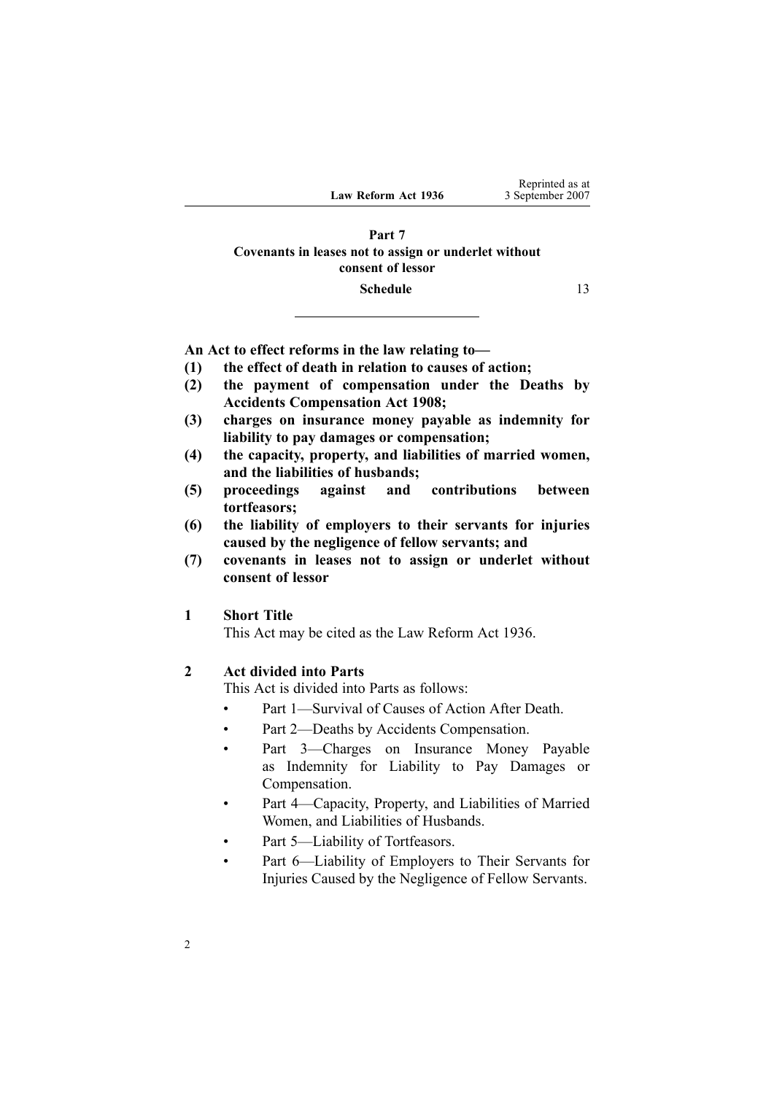#### <span id="page-1-0"></span>**[Part](#page-12-0) [7](#page-12-0) [Covenants](#page-12-0) in leases not to assign or underlet without [consent](#page-12-0) of lessor**

#### **[Schedule](#page-12-0)** [13](#page-12-0)

**An Act to effect reforms in the law relating to—**

- **(1) the effect of death in relation to causes of action;**
- **(2) the payment of compensation under the Deaths by Accidents Compensation Act 1908;**
- **(3) charges on insurance money payable as indemnity for liability to pay damages or compensation;**
- **(4) the capacity, property, and liabilities of married women, and the liabilities of husbands;**
- **(5) proceedings against and contributions between tortfeasors;**
- **(6) the liability of employers to their servants for injuries caused by the negligence of fellow servants; and**
- **(7) covenants in leases not to assign or underlet without consent of lessor**

#### **1 Short Title**

This Act may be cited as the Law Reform Act 1936.

#### **2 Act divided into Parts**

This Act is divided into Parts as follows:

- •Part [1—](#page-2-0)Survival of Causes of Action After Death.
- •Part [2—](#page-5-0)Deaths by Accidents Compensation.
- • Part [3—](#page-5-0)Charges on Insurance Money Payable as Indemnity for Liability to Pay Damages or Compensation.
- • Part [4—](#page-9-0)Capacity, Property, and Liabilities of Married Women, and Liabilities of Husbands.
- •Part [5](#page-10-0)—Liability of Tortfeasors.
- • Part [6](#page-12-0)—Liability of Employers to Their Servants for Injuries Caused by the Negligence of Fellow Servants.

Reprinted as at 3 September 2007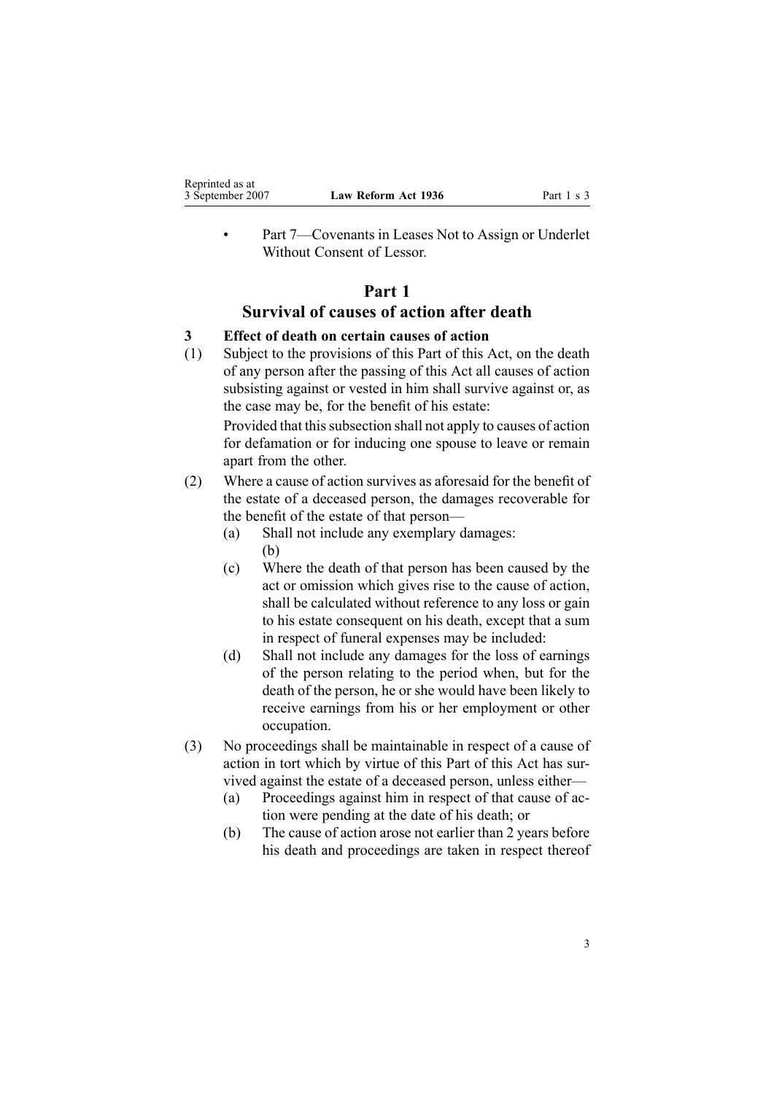<span id="page-2-0"></span>•

 Part [7—](#page-12-0)Covenants in Leases Not to Assign or Underlet Without Consent of Lessor.

## **Part 1 Survival of causes of action after death**

#### **3 Effect of death on certain causes of action**

(1) Subject to the provisions of this Part of this Act, on the death of any person after the passing of this Act all causes of action subsisting against or vested in him shall survive against or, as the case may be, for the benefit of his estate:

Provided that this subsection shall not apply to causes of action for defamation or for inducing one spouse to leave or remain apar<sup>t</sup> from the other.

- (2) Where <sup>a</sup> cause of action survives as aforesaid for the benefit of the estate of <sup>a</sup> deceased person, the damages recoverable for the benefit of the estate of that person—
	- (a) Shall not include any exemplary damages: (b)
	- (c) Where the death of that person has been caused by the act or omission which gives rise to the cause of action, shall be calculated without reference to any loss or gain to his estate consequen<sup>t</sup> on his death, excep<sup>t</sup> that <sup>a</sup> sum in respec<sup>t</sup> of funeral expenses may be included:
	- (d) Shall not include any damages for the loss of earnings of the person relating to the period when, but for the death of the person, he or she would have been likely to receive earnings from his or her employment or other occupation.
- (3) No proceedings shall be maintainable in respec<sup>t</sup> of <sup>a</sup> cause of action in tort which by virtue of this Part of this Act has survived against the estate of <sup>a</sup> deceased person, unless either—
	- (a) Proceedings against him in respec<sup>t</sup> of that cause of action were pending at the date of his death; or
	- (b) The cause of action arose not earlier than 2 years before his death and proceedings are taken in respec<sup>t</sup> thereof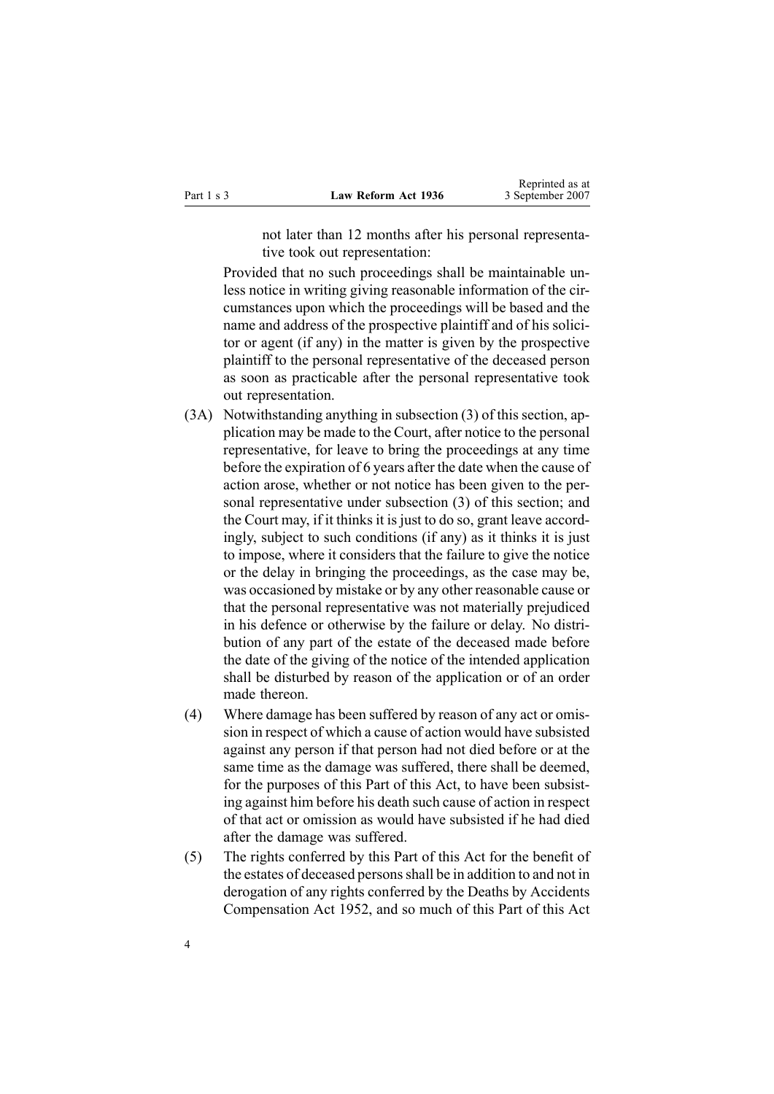not later than 12 months after his personal representative took out representation:

Provided that no such proceedings shall be maintainable unless notice in writing giving reasonable information of the circumstances upon which the proceedings will be based and the name and address of the prospective plaintiff and of his solicitor or agen<sup>t</sup> (if any) in the matter is given by the prospective plaintiff to the personal representative of the deceased person as soon as practicable after the personal representative took out representation.

- (3A) Notwithstanding anything in subsection [\(3\)](#page-2-0) of this section, application may be made to the Court, after notice to the personal representative, for leave to bring the proceedings at any time before the expiration of 6 years after the date when the cause of action arose, whether or not notice has been given to the personal representative under subsection [\(3\)](#page-2-0) of this section; and the Court may, if it thinks it is just to do so, gran<sup>t</sup> leave accordingly, subject to such conditions (if any) as it thinks it is just to impose, where it considers that the failure to give the notice or the delay in bringing the proceedings, as the case may be, was occasioned by mistake or by any other reasonable cause or that the personal representative was not materially prejudiced in his defence or otherwise by the failure or delay. No distribution of any par<sup>t</sup> of the estate of the deceased made before the date of the giving of the notice of the intended application shall be disturbed by reason of the application or of an order made thereon.
- (4) Where damage has been suffered by reason of any act or omission in respec<sup>t</sup> of which <sup>a</sup> cause of action would have subsisted against any person if that person had not died before or at the same time as the damage was suffered, there shall be deemed, for the purposes of this Part of this Act, to have been subsisting against him before his death such cause of action in respec<sup>t</sup> of that act or omission as would have subsisted if he had died after the damage was suffered.
- (5) The rights conferred by this Part of this Act for the benefit of the estates of deceased personsshall be in addition to and not in derogation of any rights conferred by the Deaths by [Accidents](http://www.legislation.govt.nz/pdfLink.aspx?id=DLM265835) [Compensation](http://www.legislation.govt.nz/pdfLink.aspx?id=DLM265835) Act 1952, and so much of this Part of this Act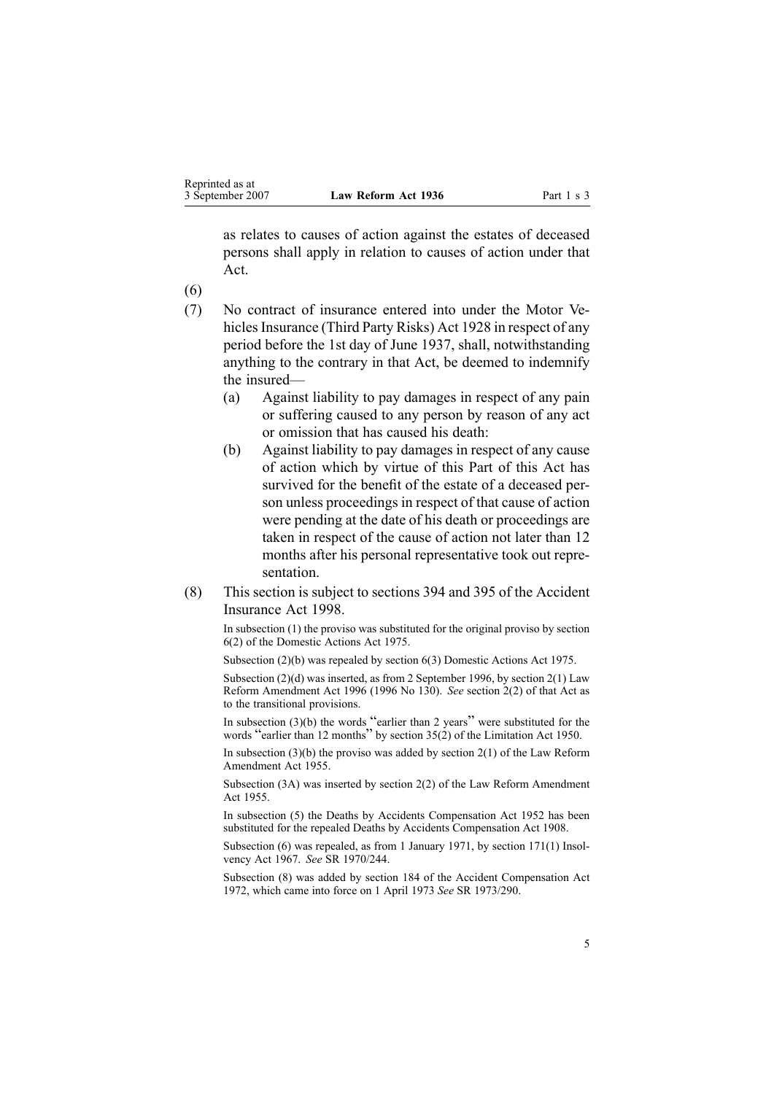as relates to causes of action against the estates of deceased persons shall apply in relation to causes of action under that Act.

(6)

- (7) No contract of insurance entered into under the Motor Vehicles Insurance (Third Party Risks) Act 1928 in respect of any period before the 1st day of June 1937, shall, notwithstanding anything to the contrary in that Act, be deemed to indemnify the insured—
	- (a) Against liability to pay damages in respec<sup>t</sup> of any pain or suffering caused to any person by reason of any act or omission that has caused his death:
	- (b) Against liability to pay damages in respec<sup>t</sup> of any cause of action which by virtue of this Part of this Act has survived for the benefit of the estate of <sup>a</sup> deceased person unless proceedings in respec<sup>t</sup> of that cause of action were pending at the date of his death or proceedings are taken in respec<sup>t</sup> of the cause of action not later than 12 months after his personal representative took out representation.
- (8) This section is subject to sections 394 and 395 of the Accident Insurance Act 1998.

In subsection (1) the proviso was substituted for the original proviso by section [6\(2\)](http://www.legislation.govt.nz/pdfLink.aspx?id=DLM434483) of the Domestic Actions Act 1975.

Subsection (2)(b) was repealed by section [6\(3\)](http://www.legislation.govt.nz/pdfLink.aspx?id=DLM434483) Domestic Actions Act 1975.

Subsection (2)(d) was inserted, as from 2 September 1996, by section [2\(1\)](http://www.legislation.govt.nz/pdfLink.aspx?id=DLM406899) Law Reform Amendment Act 1996 (1996 No 130). *See* section [2\(2\)](http://www.legislation.govt.nz/pdfLink.aspx?id=DLM406899) of that Act as to the transitional provisions.

In subsection  $(3)(b)$  the words "earlier than 2 years" were substituted for the words "earlier than <sup>12</sup> months" by section [35\(2\)](http://www.legislation.govt.nz/pdfLink.aspx?id=DLM262646) of the Limitation Act 1950.

In subsection  $(3)(b)$  the proviso was added by section  $2(1)$  of the Law Reform Amendment Act 1955.

Subsection (3A) was inserted by section 2(2) of the Law Reform Amendment Act 1955.

In subsection (5) the Deaths by Accidents Compensation Act 1952 has been substituted for the repealed Deaths by Accidents Compensation Act 1908.

Subsection (6) was repealed, as from 1 January 1971, by section [171\(1\)](http://www.legislation.govt.nz/pdfLink.aspx?id=DLM384126) Insolvency Act 1967. *See* SR 1970/244.

Subsection (8) was added by section 184 of the Accident Compensation Act 1972, which came into force on 1 April 1973 *See* SR 1973/290.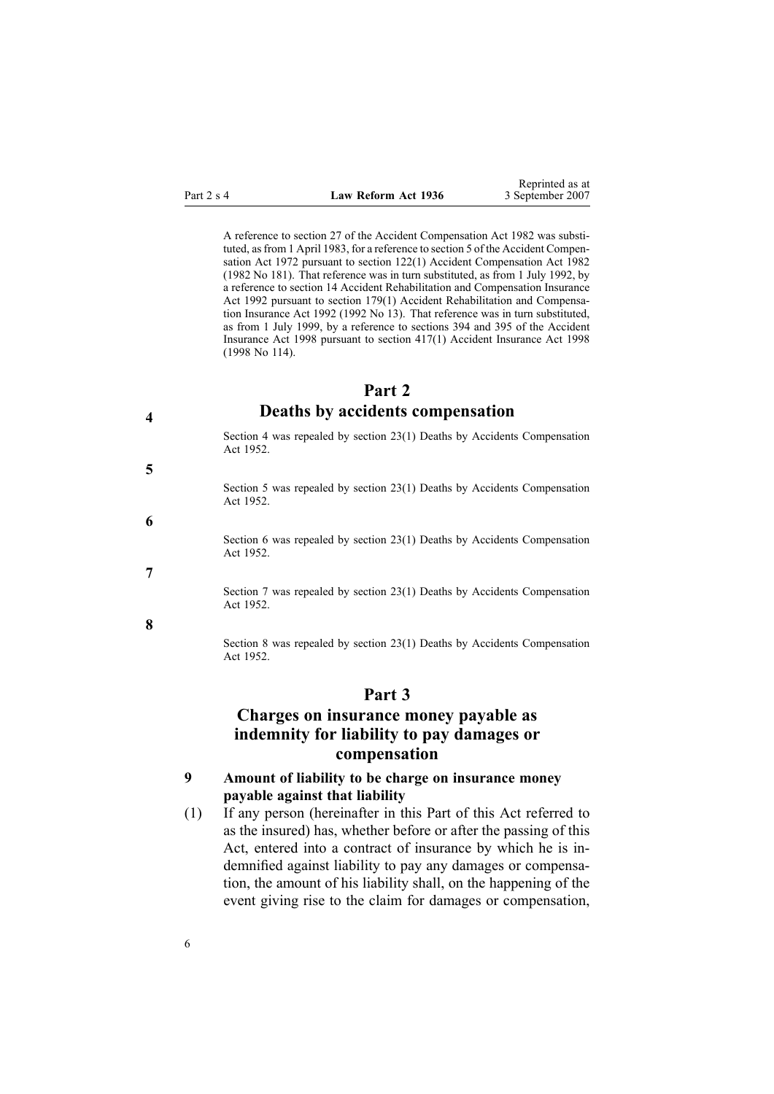| Law Reform Act 1936 |  |
|---------------------|--|
|                     |  |

A reference to section 27 of the Accident Compensation Act 1982 was substituted, as from 1 April 1983, for a reference to section 5 of the Accident Compensation Act 1972 pursuan<sup>t</sup> to section 122(1) Accident Compensation Act 1982 (1982 No 181). That reference was in turn substituted, as from 1 July 1992, by <sup>a</sup> reference to section 14 Accident Rehabilitation and Compensation Insurance Act 1992 pursuan<sup>t</sup> to section 179(1) Accident Rehabilitation and Compensation Insurance Act 1992 (1992 No 13). That reference was in turn substituted, as from 1 July 1999, by <sup>a</sup> reference to sections 394 and 395 of the Accident Insurance Act 1998 pursuan<sup>t</sup> to section 417(1) Accident Insurance Act 1998 (1998 No 114).

Reprinted as at September 2007

# **Part 2 Deaths by accidents compensation**

Section 4 was repealed by section [23\(1\)](http://www.legislation.govt.nz/pdfLink.aspx?id=DLM265898) Deaths by Accidents Compensation Act 1952.

Section 5 was repealed by section [23\(1\)](http://www.legislation.govt.nz/pdfLink.aspx?id=DLM265898) Deaths by Accidents Compensation Act 1952.

Section 6 was repealed by section [23\(1\)](http://www.legislation.govt.nz/pdfLink.aspx?id=DLM265898) Deaths by Accidents Compensation Act 1952.

Section 7 was repealed by section [23\(1\)](http://www.legislation.govt.nz/pdfLink.aspx?id=DLM265898) Deaths by Accidents Compensation Act 1952.

**8**

**4**

**5**

**6**

**7**

Section 8 was repealed by section [23\(1\)](http://www.legislation.govt.nz/pdfLink.aspx?id=DLM265898) Deaths by Accidents Compensation Act 1952.

## **Part 3**

# **Charges on insurance money payable as indemnity for liability to pay damages or compensation**

## **9 Amount of liability to be charge on insurance money payable against that liability**

(1) If any person (hereinafter in this Part of this Act referred to as the insured) has, whether before or after the passing of this Act, entered into <sup>a</sup> contract of insurance by which he is indemnified against liability to pay any damages or compensation, the amount of his liability shall, on the happening of the event giving rise to the claim for damages or compensation,

<span id="page-5-0"></span>**Part 2 s 4**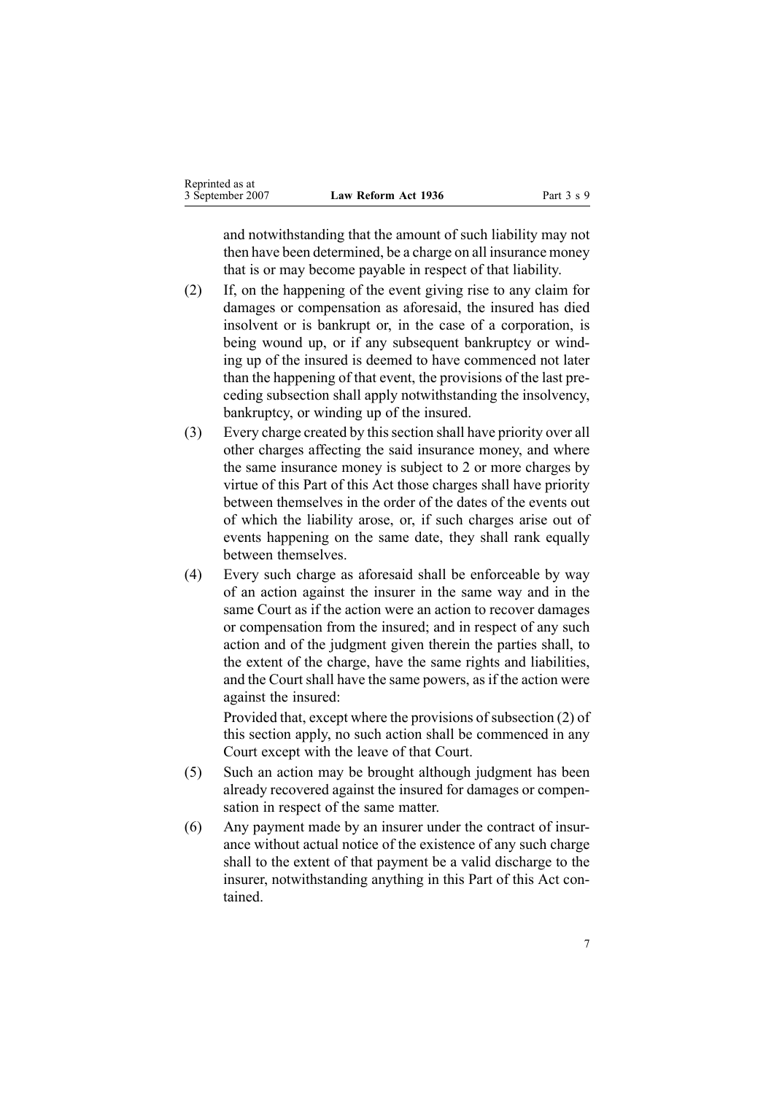| Reprinted as at  |                     |
|------------------|---------------------|
| 3 September 2007 | Law Reform Act 1936 |

and notwithstanding that the amount of such liability may not then have been determined, be <sup>a</sup> charge on all insurance money that is or may become payable in respec<sup>t</sup> of that liability.

- (2) If, on the happening of the event giving rise to any claim for damages or compensation as aforesaid, the insured has died insolvent or is bankrupt or, in the case of <sup>a</sup> corporation, is being wound up, or if any subsequent bankruptcy or winding up of the insured is deemed to have commenced not later than the happening of that event, the provisions of the last preceding subsection shall apply notwithstanding the insolvency, bankruptcy, or winding up of the insured.
- (3) Every charge created by thissection shall have priority over all other charges affecting the said insurance money, and where the same insurance money is subject to 2 or more charges by virtue of this Part of this Act those charges shall have priority between themselves in the order of the dates of the events out of which the liability arose, or, if such charges arise out of events happening on the same date, they shall rank equally between themselves.
- (4) Every such charge as aforesaid shall be enforceable by way of an action against the insurer in the same way and in the same Court as if the action were an action to recover damages or compensation from the insured; and in respec<sup>t</sup> of any such action and of the judgment given therein the parties shall, to the extent of the charge, have the same rights and liabilities, and the Court shall have the same powers, as if the action were against the insured:

Provided that, except where the provisions of subsection  $(2)$  of this section apply, no such action shall be commenced in any Court excep<sup>t</sup> with the leave of that Court.

- (5) Such an action may be brought although judgment has been already recovered against the insured for damages or compensation in respec<sup>t</sup> of the same matter.
- (6) Any paymen<sup>t</sup> made by an insurer under the contract of insurance without actual notice of the existence of any such charge shall to the extent of that paymen<sup>t</sup> be <sup>a</sup> valid discharge to the insurer, notwithstanding anything in this Part of this Act contained.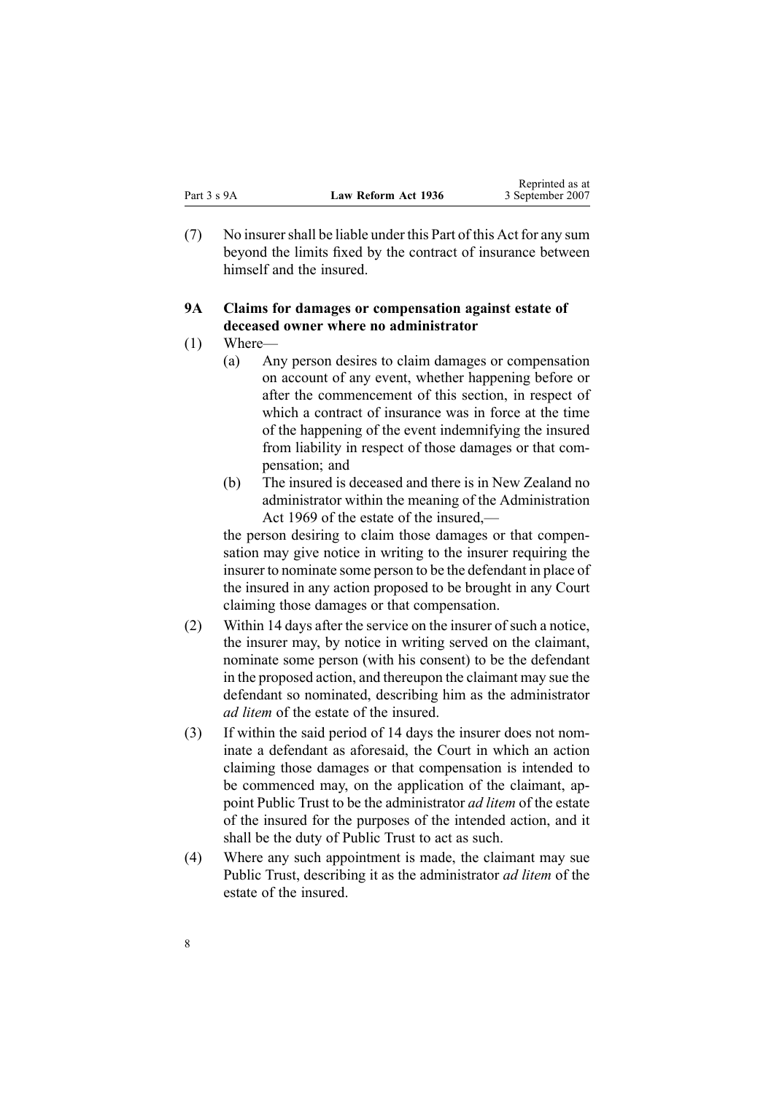<span id="page-7-0"></span>(7) No insurershall be liable under this Part of this Act for any sum beyond the limits fixed by the contract of insurance between himself and the insured.

## **9A Claims for damages or compensation against estate of deceased owner where no administrator**

- (1) Where—
	- (a) Any person desires to claim damages or compensation on account of any event, whether happening before or after the commencement of this section, in respec<sup>t</sup> of which <sup>a</sup> contract of insurance was in force at the time of the happening of the event indemnifying the insured from liability in respec<sup>t</sup> of those damages or that compensation; and
	- (b) The insured is deceased and there is in New Zealand no administrator within the meaning of the [Administration](http://www.legislation.govt.nz/pdfLink.aspx?id=DLM392629) Act [1969](http://www.legislation.govt.nz/pdfLink.aspx?id=DLM392629) of the estate of the insured,—

the person desiring to claim those damages or that compensation may give notice in writing to the insurer requiring the insurer to nominate some person to be the defendant in place of the insured in any action proposed to be brought in any Court claiming those damages or that compensation.

- (2) Within 14 days after the service on the insurer of such <sup>a</sup> notice, the insurer may, by notice in writing served on the claimant, nominate some person (with his consent) to be the defendant in the proposed action, and thereupon the claimant may sue the defendant so nominated, describing him as the administrator *ad litem* of the estate of the insured.
- (3) If within the said period of 14 days the insurer does not nominate <sup>a</sup> defendant as aforesaid, the Court in which an action claiming those damages or that compensation is intended to be commenced may, on the application of the claimant, appoint Public Trust to be the administrator *ad litem* of the estate of the insured for the purposes of the intended action, and it shall be the duty of Public Trust to act as such.
- (4) Where any such appointment is made, the claimant may sue Public Trust, describing it as the administrator *ad litem* of the estate of the insured.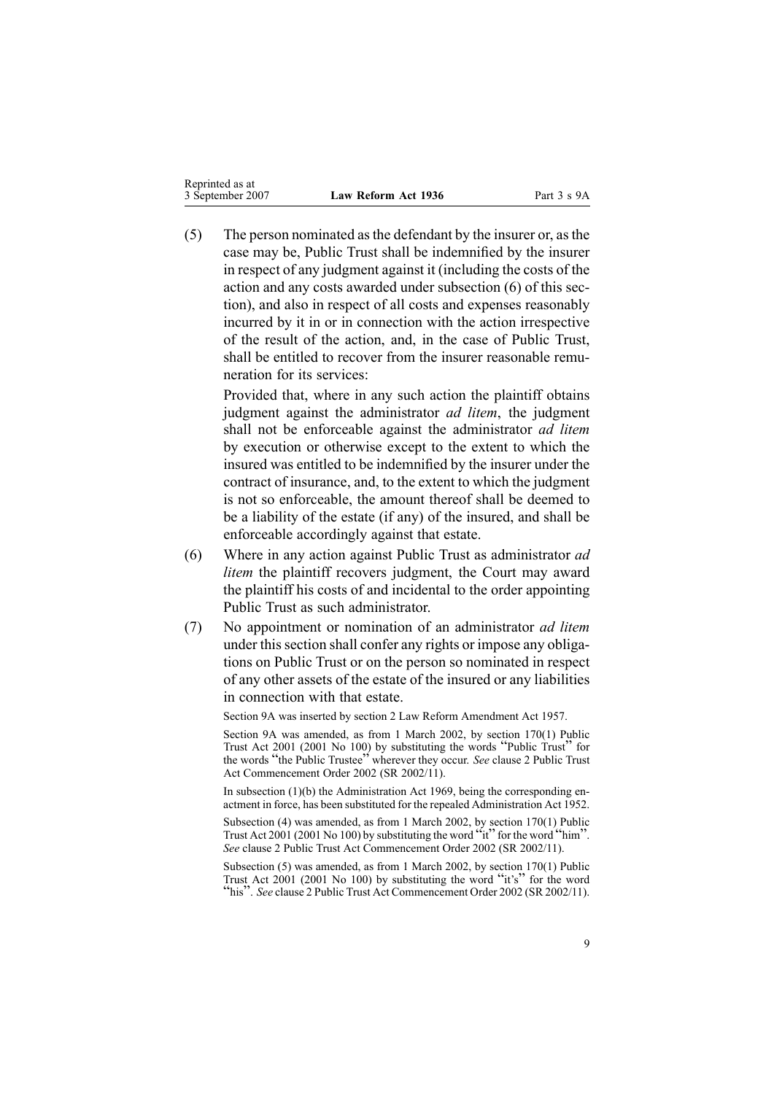| Reprinted as at<br>3 September 2007 | Law Reform Act 1936 |
|-------------------------------------|---------------------|
|-------------------------------------|---------------------|

(5) The person nominated asthe defendant by the insurer or, asthe case may be, Public Trust shall be indemnified by the insurer in respec<sup>t</sup> of any judgment against it (including the costs of the action and any costs awarded under subsection [\(6\)](#page-7-0) of this section), and also in respec<sup>t</sup> of all costs and expenses reasonably incurred by it in or in connection with the action irrespective of the result of the action, and, in the case of Public Trust, shall be entitled to recover from the insurer reasonable remuneration for its services:

Provided that, where in any such action the plaintiff obtains judgment against the administrator *ad litem*, the judgment shall not be enforceable against the administrator *ad litem* by execution or otherwise excep<sup>t</sup> to the extent to which the insured was entitled to be indemnified by the insurer under the contract of insurance, and, to the extent to which the judgment is not so enforceable, the amount thereof shall be deemed to be <sup>a</sup> liability of the estate (if any) of the insured, and shall be enforceable accordingly against that estate.

- (6) Where in any action against Public Trust as administrator *ad litem* the plaintiff recovers judgment, the Court may award the plaintiff his costs of and incidental to the order appointing Public Trust as such administrator.
- (7) No appointment or nomination of an administrator *ad litem* under this section shall confer any rights or impose any obligations on Public Trust or on the person so nominated in respec<sup>t</sup> of any other assets of the estate of the insured or any liabilities in connection with that estate.

Section 9A was inserted by section 2 Law Reform Amendment Act 1957.

Section 9A was amended, as from 1 March 2002, by section [170\(1\)](http://www.legislation.govt.nz/pdfLink.aspx?id=DLM124529) Public Trust Act <sup>2001</sup> (2001 No 100) by substituting the words "Public Trust" for the words "the Public Trustee" wherever they occur. *See* clause [2](http://www.legislation.govt.nz/pdfLink.aspx?id=DLM109325) [Public](http://www.legislation.govt.nz/pdfLink.aspx?id=DLM109320) Trust Act [Commencement](http://www.legislation.govt.nz/pdfLink.aspx?id=DLM109320) Order 2002 (SR 2002/11).

In subsection (1)(b) the Administration Act 1969, being the corresponding enactment in force, has been substituted for the repealed Administration Act 1952.

Subsection (4) was amended, as from 1 March 2002, by section [170\(1\)](http://www.legislation.govt.nz/pdfLink.aspx?id=DLM124529) Public Trust Act 2001 (2001 No 100) by substituting the word " $\tilde{t}$ " for the word "him" *See* clause [2](http://www.legislation.govt.nz/pdfLink.aspx?id=DLM109325) Public Trust Act [Commencement](http://www.legislation.govt.nz/pdfLink.aspx?id=DLM109320) Order 2002 (SR 2002/11).

Subsection (5) was amended, as from 1 March 2002, by section [170\(1\)](http://www.legislation.govt.nz/pdfLink.aspx?id=DLM124529) Public Trust Act <sup>2001</sup> (2001 No 100) by substituting the word "it's" for the word "his". *See* clause [2](http://www.legislation.govt.nz/pdfLink.aspx?id=DLM109325) Public Trust Act [Commencement](http://www.legislation.govt.nz/pdfLink.aspx?id=DLM109320) Order <sup>2002</sup> (SR 2002/11).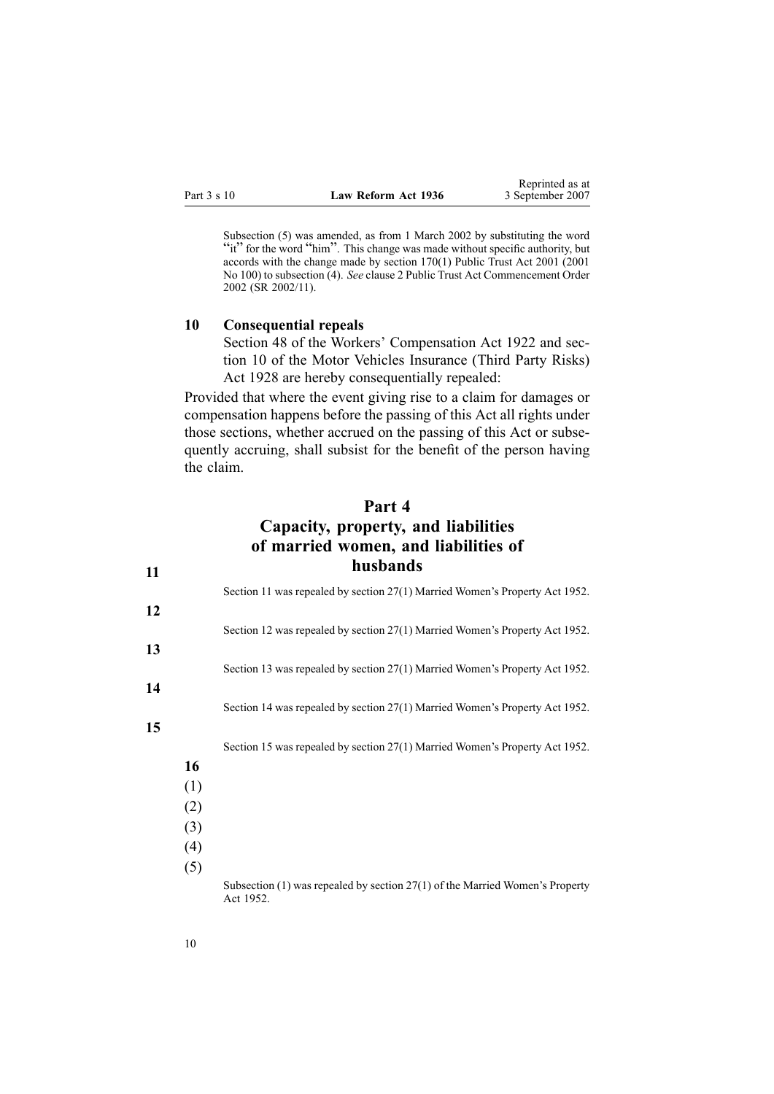<span id="page-9-0"></span>Subsection (5) was amended, as from 1 March 2002 by substituting the word "it" for the word "him". This change was made without specific authority, but accords with the change made by section [170\(1\)](http://www.legislation.govt.nz/pdfLink.aspx?id=DLM124529) Public Trust Act 2001 (2001 No 100) to subsection (4). *See* clause [2](http://www.legislation.govt.nz/pdfLink.aspx?id=DLM109325) Public Trust Act [Commencement](http://www.legislation.govt.nz/pdfLink.aspx?id=DLM109320) Order [2002](http://www.legislation.govt.nz/pdfLink.aspx?id=DLM109320) (SR 2002/11).

#### **10 Consequential repeals**

Section 48 of the Workers' Compensation Act 1922 and section 10 of the Motor Vehicles Insurance (Third Party Risks) Act 1928 are hereby consequentially repealed:

Provided that where the event giving rise to <sup>a</sup> claim for damages or compensation happens before the passing of this Act all rights under those sections, whether accrued on the passing of this Act or subsequently accruing, shall subsist for the benefit of the person having the claim.

# **Part 4**

# **Capacity, property, and liabilities of married women, and liabilities of husbands**

|    |     | Section 11 was repealed by section 27(1) Married Women's Property Act 1952.                   |  |
|----|-----|-----------------------------------------------------------------------------------------------|--|
| 12 |     |                                                                                               |  |
|    |     | Section 12 was repealed by section 27(1) Married Women's Property Act 1952.                   |  |
| 13 |     |                                                                                               |  |
|    |     | Section 13 was repealed by section 27(1) Married Women's Property Act 1952.                   |  |
| 14 |     |                                                                                               |  |
|    |     | Section 14 was repealed by section 27(1) Married Women's Property Act 1952.                   |  |
| 15 |     |                                                                                               |  |
|    |     | Section 15 was repealed by section 27(1) Married Women's Property Act 1952.                   |  |
|    | 16  |                                                                                               |  |
|    | (1) |                                                                                               |  |
|    | (2) |                                                                                               |  |
|    | (3) |                                                                                               |  |
|    | (4) |                                                                                               |  |
|    | (5) |                                                                                               |  |
|    |     | Subsection $(1)$ was repealed by section $27(1)$ of the Married Women's Property<br>Act 1952. |  |

**11**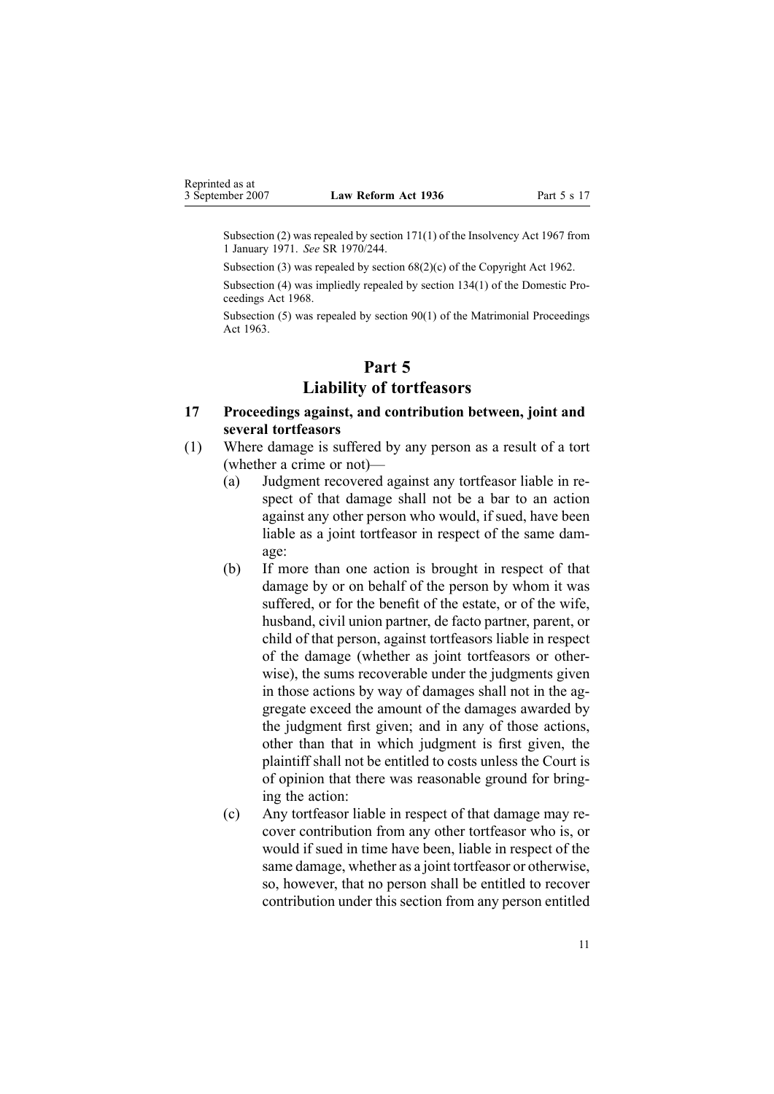<span id="page-10-0"></span>Subsection (2) was repealed by section [171\(1\)](http://www.legislation.govt.nz/pdfLink.aspx?id=DLM384126) of the Insolvency Act 1967 from 1 January 1971. *See* SR 1970/244.

Subsection (3) was repealed by section 68(2)(c) of the Copyright Act 1962.

Subsection (4) was impliedly repealed by section 134(1) of the Domestic Proceedings Act 1968.

Subsection (5) was repealed by section 90(1) of the Matrimonial Proceedings Act 1963.

## **Part 5**

## **Liability of tortfeasors**

- **17 Proceedings against, and contribution between, joint and several tortfeasors**
- (1) Where damage is suffered by any person as <sup>a</sup> result of <sup>a</sup> tort (whether <sup>a</sup> crime or not)—
	- (a) Judgment recovered against any tortfeasor liable in respec<sup>t</sup> of that damage shall not be <sup>a</sup> bar to an action against any other person who would, if sued, have been liable as <sup>a</sup> joint tortfeasor in respec<sup>t</sup> of the same damage:
	- (b) If more than one action is brought in respec<sup>t</sup> of that damage by or on behalf of the person by whom it was suffered, or for the benefit of the estate, or of the wife, husband, civil union partner, de facto partner, parent, or child of that person, against tortfeasors liable in respec<sup>t</sup> of the damage (whether as joint tortfeasors or otherwise), the sums recoverable under the judgments given in those actions by way of damages shall not in the aggregate exceed the amount of the damages awarded by the judgment first given; and in any of those actions, other than that in which judgment is first given, the plaintiff shall not be entitled to costs unless the Court is of opinion that there was reasonable ground for bringing the action:
	- (c) Any tortfeasor liable in respec<sup>t</sup> of that damage may recover contribution from any other tortfeasor who is, or would if sued in time have been, liable in respec<sup>t</sup> of the same damage, whether as <sup>a</sup> joint tortfeasor or otherwise, so, however, that no person shall be entitled to recover contribution under this section from any person entitled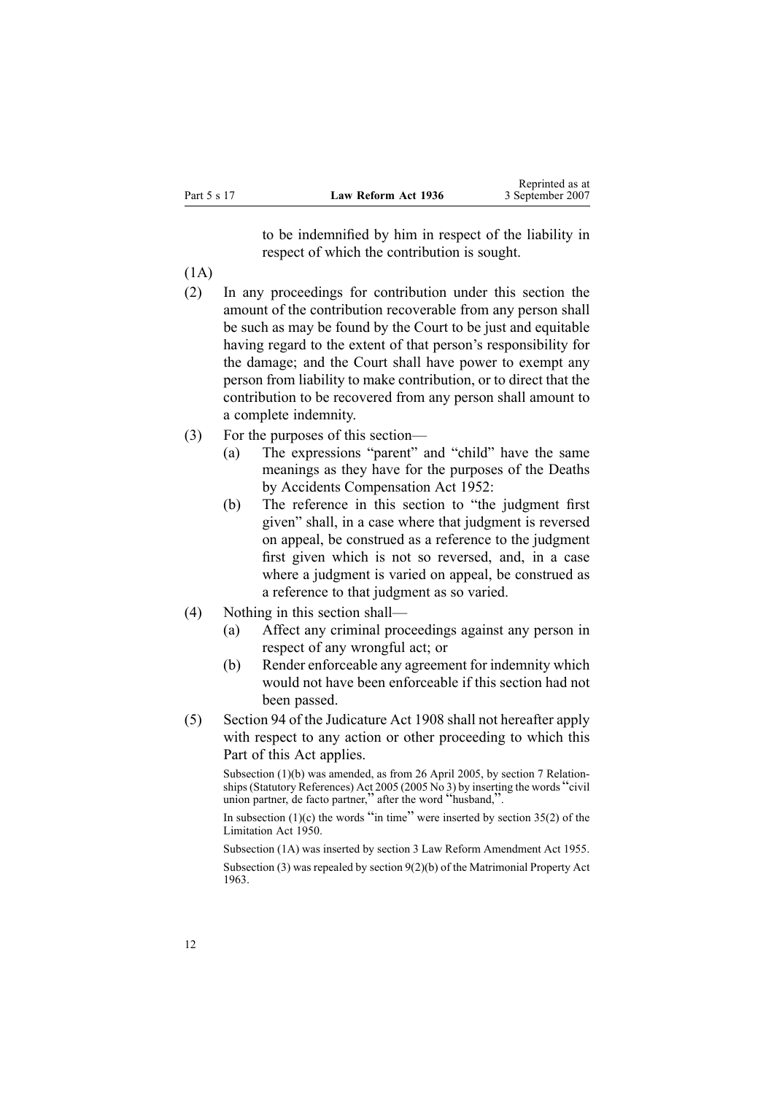|             |                     | would as a       |
|-------------|---------------------|------------------|
| Part 5 s 17 | Law Reform Act 1936 | 3 September 2007 |

to be indemnified by him in respec<sup>t</sup> of the liability in respec<sup>t</sup> of which the contribution is sought.

Reprinted as at

- (1A)
- (2) In any proceedings for contribution under this section the amount of the contribution recoverable from any person shall be such as may be found by the Court to be just and equitable having regard to the extent of that person's responsibility for the damage; and the Court shall have power to exemp<sup>t</sup> any person from liability to make contribution, or to direct that the contribution to be recovered from any person shall amount to <sup>a</sup> complete indemnity.
- (3) For the purposes of this section—
	- (a) The expressions "parent" and "child" have the same meanings as they have for the purposes of the [Deaths](http://www.legislation.govt.nz/pdfLink.aspx?id=DLM265835) by Accidents [Compensation](http://www.legislation.govt.nz/pdfLink.aspx?id=DLM265835) Act 1952:
	- (b) The reference in this section to "the judgment first given" shall, in <sup>a</sup> case where that judgment is reversed on appeal, be construed as <sup>a</sup> reference to the judgment first given which is not so reversed, and, in <sup>a</sup> case where <sup>a</sup> judgment is varied on appeal, be construed as <sup>a</sup> reference to that judgment as so varied.
- (4) Nothing in this section shall—
	- (a) Affect any criminal proceedings against any person in respec<sup>t</sup> of any wrongful act; or
	- (b) Render enforceable any agreemen<sup>t</sup> for indemnity which would not have been enforceable if this section had not been passed.
- (5) Section [94](http://www.legislation.govt.nz/pdfLink.aspx?id=DLM147608) of the [Judicature](http://www.legislation.govt.nz/pdfLink.aspx?id=DLM144692) Act 1908 shall not hereafter apply with respect to any action or other proceeding to which this Part of this Act applies.

Subsection (1)(b) was amended, as from 26 April 2005, by section 7 Relationships(Statutory References) Act <sup>2005</sup> (2005 No 3) by inserting the words "civil union partner, de facto partner," after the word "husband,".

In subsection  $(1)(c)$  the words "in time" were inserted by section [35\(2\)](http://www.legislation.govt.nz/pdfLink.aspx?id=DLM262646) of the Limitation Act 1950.

Subsection (1A) was inserted by section 3 Law Reform Amendment Act 1955.

Subsection (3) was repealed by section 9(2)(b) of the Matrimonial Property Act 1963.